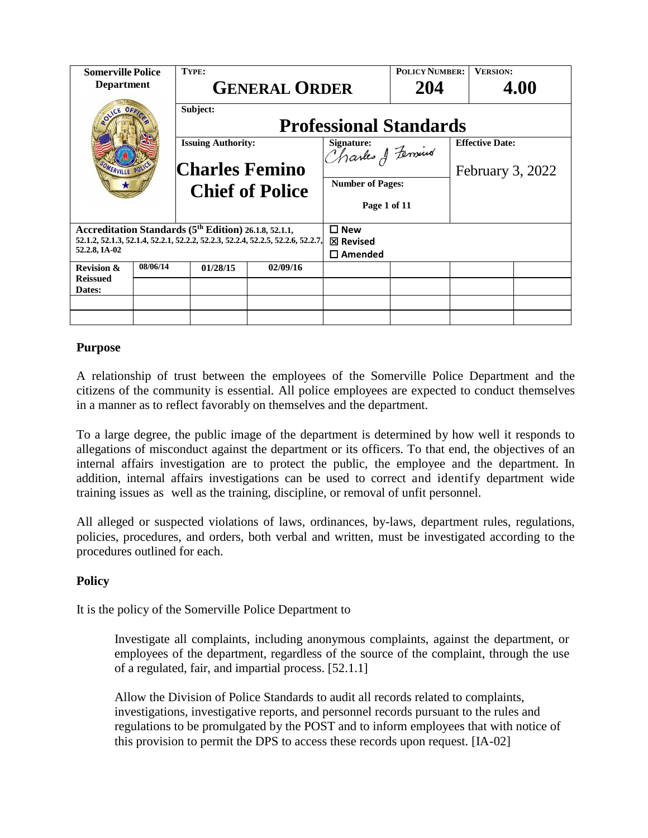| <b>Somerville Police</b><br><b>Department</b>                                                                                                                                             |          | TYPE:                                              | <b>GENERAL ORDER</b>   |                                         | <b>POLICY NUMBER:</b><br>204 | <b>VERSION:</b>        | 4.00             |
|-------------------------------------------------------------------------------------------------------------------------------------------------------------------------------------------|----------|----------------------------------------------------|------------------------|-----------------------------------------|------------------------------|------------------------|------------------|
| <b>MERVILLE POLI</b>                                                                                                                                                                      |          | Subject:<br><b>Professional Standards</b>          |                        |                                         |                              |                        |                  |
|                                                                                                                                                                                           |          | <b>Issuing Authority:</b><br><b>Charles Femino</b> |                        | Signature:<br>Trantes of Fernius        |                              | <b>Effective Date:</b> | February 3, 2022 |
|                                                                                                                                                                                           |          |                                                    | <b>Chief of Police</b> | <b>Number of Pages:</b><br>Page 1 of 11 |                              |                        |                  |
| Accreditation Standards (5 <sup>th</sup> Edition) 26.1.8, 52.1.1,<br>52, 1, 2, 52, 1, 3, 52, 1, 4, 52, 2, 1, 52, 2, 2, 52, 2, 3, 52, 2, 4, 52, 2, 5, 52, 2, 6, 52, 2, 7,<br>52.2.8, IA-02 |          | $\square$ New<br>⊠ Revised<br>$\square$ Amended    |                        |                                         |                              |                        |                  |
| <b>Revision &amp;</b><br><b>Reissued</b>                                                                                                                                                  | 08/06/14 | 01/28/15                                           | 02/09/16               |                                         |                              |                        |                  |
| Dates:                                                                                                                                                                                    |          |                                                    |                        |                                         |                              |                        |                  |
|                                                                                                                                                                                           |          |                                                    |                        |                                         |                              |                        |                  |
|                                                                                                                                                                                           |          |                                                    |                        |                                         |                              |                        |                  |

### **Purpose**

A relationship of trust between the employees of the Somerville Police Department and the citizens of the community is essential. All police employees are expected to conduct themselves in a manner as to reflect favorably on themselves and the department.

To a large degree, the public image of the department is determined by how well it responds to allegations of misconduct against the department or its officers. To that end, the objectives of an internal affairs investigation are to protect the public, the employee and the department. In addition, internal affairs investigations can be used to correct and identify department wide training issues as well as the training, discipline, or removal of unfit personnel.

All alleged or suspected violations of laws, ordinances, by-laws, department rules, regulations, policies, procedures, and orders, both verbal and written, must be investigated according to the procedures outlined for each.

### **Policy**

It is the policy of the Somerville Police Department to

Investigate all complaints, including anonymous complaints, against the department, or employees of the department, regardless of the source of the complaint, through the use of a regulated, fair, and impartial process. [52.1.1]

Allow the Division of Police Standards to audit all records related to complaints, investigations, investigative reports, and personnel records pursuant to the rules and regulations to be promulgated by the POST and to inform employees that with notice of this provision to permit the DPS to access these records upon request. [IA-02]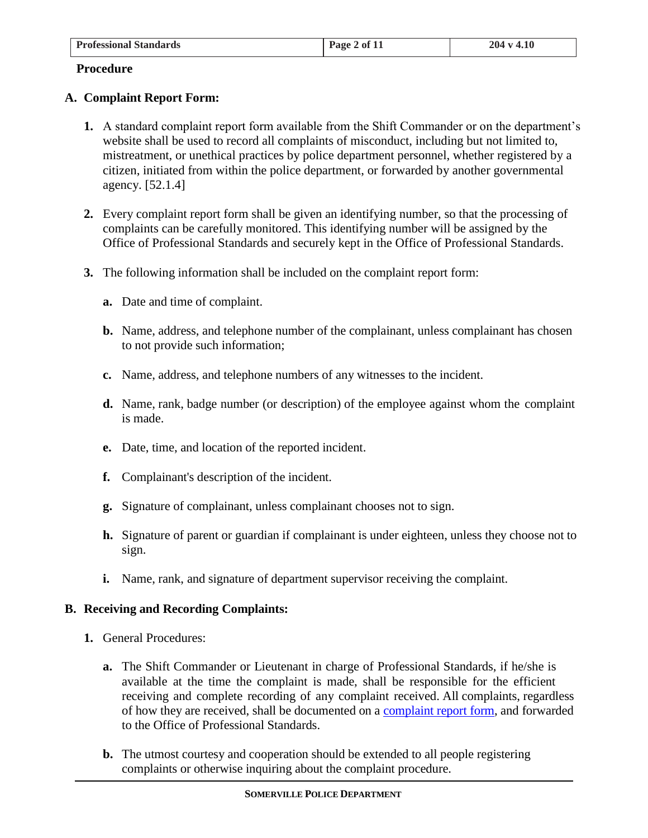| <b>Professional Standards</b> | Page 2 of 11 | 204 v 4.10 |
|-------------------------------|--------------|------------|

#### **Procedure**

### **A. Complaint Report Form:**

- **1.** A standard complaint report form available from the Shift Commander or on the department's website shall be used to record all complaints of misconduct, including but not limited to, mistreatment, or unethical practices by police department personnel, whether registered by a citizen, initiated from within the police department, or forwarded by another governmental agency. [52.1.4]
- **2.** Every complaint report form shall be given an identifying number, so that the processing of complaints can be carefully monitored. This identifying number will be assigned by the Office of Professional Standards and securely kept in the Office of Professional Standards.
- **3.** The following information shall be included on the complaint report form:
	- **a.** Date and time of complaint.
	- **b.** Name, address, and telephone number of the complainant, unless complainant has chosen to not provide such information;
	- **c.** Name, address, and telephone numbers of any witnesses to the incident.
	- **d.** Name, rank, badge number (or description) of the employee against whom the complaint is made.
	- **e.** Date, time, and location of the reported incident.
	- **f.** Complainant's description of the incident.
	- **g.** Signature of complainant, unless complainant chooses not to sign.
	- **h.** Signature of parent or guardian if complainant is under eighteen, unless they choose not to sign.
	- **i.** Name, rank, and signature of department supervisor receiving the complaint.

### **B. Receiving and Recording Complaints:**

- **1.** General Procedures:
	- **a.** The Shift Commander or Lieutenant in charge of Professional Standards, if he/she is available at the time the complaint is made, shall be responsible for the efficient receiving and complete recording of any complaint received. All complaints, regardless of how they are received, shall be documented on a [complaint report form,](http://somervillepd.com/index.php/contact-us1/officer-thanks-or-complaints) and forwarded to the Office of Professional Standards.
	- **b.** The utmost courtesy and cooperation should be extended to all people registering complaints or otherwise inquiring about the complaint procedure.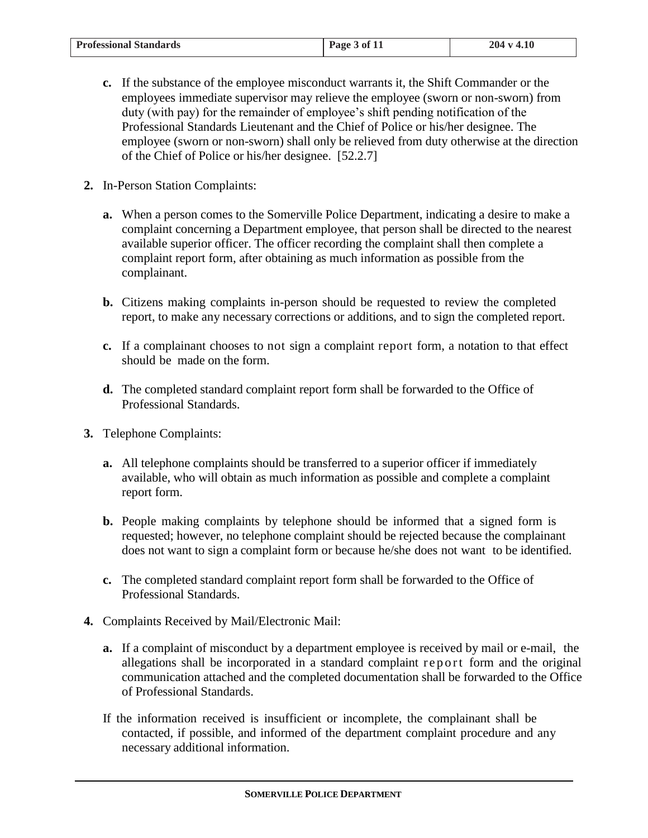| <b>Professional Standards</b> | Page 3 of 11 | 204 v 4.10 |
|-------------------------------|--------------|------------|

- **c.** If the substance of the employee misconduct warrants it, the Shift Commander or the employees immediate supervisor may relieve the employee (sworn or non-sworn) from duty (with pay) for the remainder of employee's shift pending notification of the Professional Standards Lieutenant and the Chief of Police or his/her designee. The employee (sworn or non-sworn) shall only be relieved from duty otherwise at the direction of the Chief of Police or his/her designee. [52.2.7]
- **2.** In-Person Station Complaints:
	- **a.** When a person comes to the Somerville Police Department, indicating a desire to make a complaint concerning a Department employee, that person shall be directed to the nearest available superior officer. The officer recording the complaint shall then complete a complaint report form, after obtaining as much information as possible from the complainant.
	- **b.** Citizens making complaints in-person should be requested to review the completed report, to make any necessary corrections or additions, and to sign the completed report.
	- **c.** If a complainant chooses to not sign a complaint report form, a notation to that effect should be made on the form.
	- **d.** The completed standard complaint report form shall be forwarded to the Office of Professional Standards.
- **3.** Telephone Complaints:
	- **a.** All telephone complaints should be transferred to a superior officer if immediately available, who will obtain as much information as possible and complete a complaint report form.
	- **b.** People making complaints by telephone should be informed that a signed form is requested; however, no telephone complaint should be rejected because the complainant does not want to sign a complaint form or because he/she does not want to be identified.
	- **c.** The completed standard complaint report form shall be forwarded to the Office of Professional Standards.
- **4.** Complaints Received by Mail/Electronic Mail:
	- **a.** If a complaint of misconduct by a department employee is received by mail or e-mail, the allegations shall be incorporated in a standard complaint report form and the original communication attached and the completed documentation shall be forwarded to the Office of Professional Standards.
	- If the information received is insufficient or incomplete, the complainant shall be contacted, if possible, and informed of the department complaint procedure and any necessary additional information.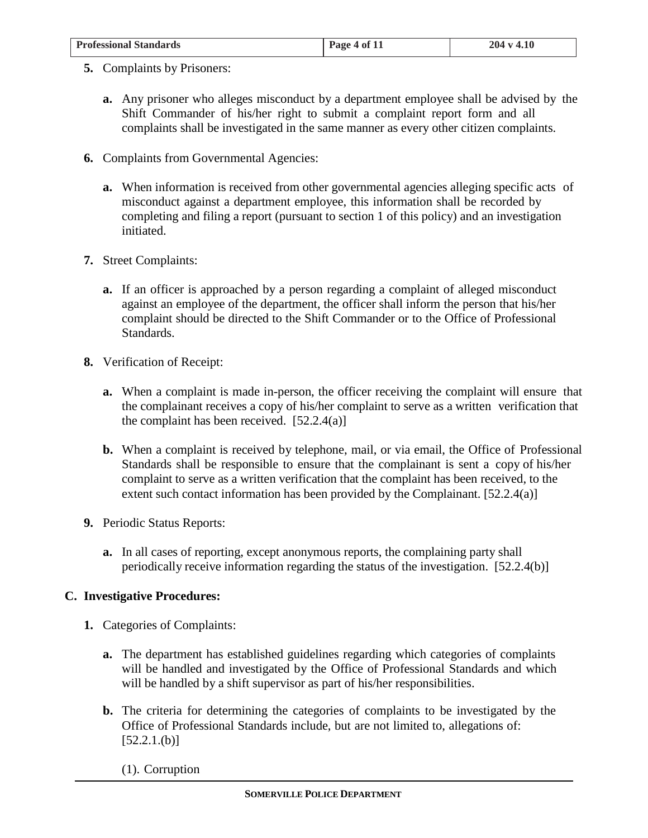| <b>Professional Standards</b> | $\frac{1}{2}$ Page 4 of 11 | $204 \text{ v } 4.10$ |
|-------------------------------|----------------------------|-----------------------|
|                               |                            |                       |

- **5.** Complaints by Prisoners:
	- **a.** Any prisoner who alleges misconduct by a department employee shall be advised by the Shift Commander of his/her right to submit a complaint report form and all complaints shall be investigated in the same manner as every other citizen complaints.
- **6.** Complaints from Governmental Agencies:
	- **a.** When information is received from other governmental agencies alleging specific acts of misconduct against a department employee, this information shall be recorded by completing and filing a report (pursuant to section 1 of this policy) and an investigation initiated.
- **7.** Street Complaints:
	- **a.** If an officer is approached by a person regarding a complaint of alleged misconduct against an employee of the department, the officer shall inform the person that his/her complaint should be directed to the Shift Commander or to the Office of Professional Standards.
- **8.** Verification of Receipt:
	- **a.** When a complaint is made in-person, the officer receiving the complaint will ensure that the complainant receives a copy of his/her complaint to serve as a written verification that the complaint has been received.  $[52.2.4(a)]$
	- **b.** When a complaint is received by telephone, mail, or via email, the Office of Professional Standards shall be responsible to ensure that the complainant is sent a copy of his/her complaint to serve as a written verification that the complaint has been received, to the extent such contact information has been provided by the Complainant. [52.2.4(a)]
- **9.** Periodic Status Reports:
	- **a.** In all cases of reporting, except anonymous reports, the complaining party shall periodically receive information regarding the status of the investigation. [52.2.4(b)]

### **C. Investigative Procedures:**

- **1.** Categories of Complaints:
	- **a.** The department has established guidelines regarding which categories of complaints will be handled and investigated by the Office of Professional Standards and which will be handled by a shift supervisor as part of his/her responsibilities.
	- **b.** The criteria for determining the categories of complaints to be investigated by the Office of Professional Standards include, but are not limited to, allegations of:  $[52.2.1.(b)]$ 
		- (1). Corruption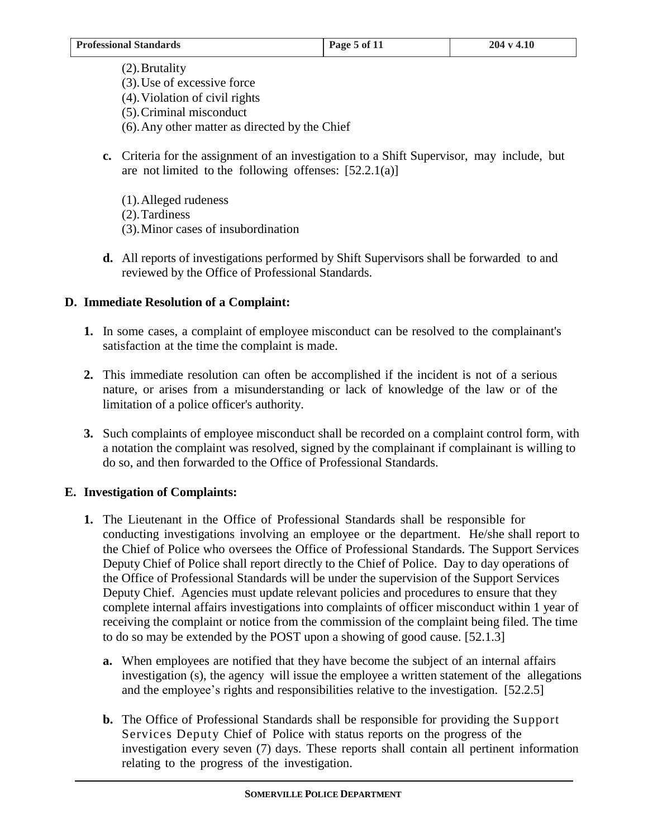- (2).Brutality (3).Use of excessive force (4).Violation of civil rights (5).Criminal misconduct (6).Any other matter as directed by the Chief
- **c.** Criteria for the assignment of an investigation to a Shift Supervisor, may include, but are not limited to the following offenses:  $[52.2.1(a)]$ 
	- (1).Alleged rudeness (2).Tardiness (3).Minor cases of insubordination
- **d.** All reports of investigations performed by Shift Supervisors shall be forwarded to and reviewed by the Office of Professional Standards.

## **D. Immediate Resolution of a Complaint:**

- **1.** In some cases, a complaint of employee misconduct can be resolved to the complainant's satisfaction at the time the complaint is made.
- **2.** This immediate resolution can often be accomplished if the incident is not of a serious nature, or arises from a misunderstanding or lack of knowledge of the law or of the limitation of a police officer's authority.
- **3.** Such complaints of employee misconduct shall be recorded on a complaint control form, with a notation the complaint was resolved, signed by the complainant if complainant is willing to do so, and then forwarded to the Office of Professional Standards.

## **E. Investigation of Complaints:**

- **1.** The Lieutenant in the Office of Professional Standards shall be responsible for conducting investigations involving an employee or the department. He/she shall report to the Chief of Police who oversees the Office of Professional Standards. The Support Services Deputy Chief of Police shall report directly to the Chief of Police. Day to day operations of the Office of Professional Standards will be under the supervision of the Support Services Deputy Chief. Agencies must update relevant policies and procedures to ensure that they complete internal affairs investigations into complaints of officer misconduct within 1 year of receiving the complaint or notice from the commission of the complaint being filed. The time to do so may be extended by the POST upon a showing of good cause. [52.1.3]
	- **a.** When employees are notified that they have become the subject of an internal affairs investigation (s), the agency will issue the employee a written statement of the allegations and the employee's rights and responsibilities relative to the investigation. [52.2.5]
	- **b.** The Office of Professional Standards shall be responsible for providing the Support Services Deputy Chief of Police with status reports on the progress of the investigation every seven (7) days. These reports shall contain all pertinent information relating to the progress of the investigation.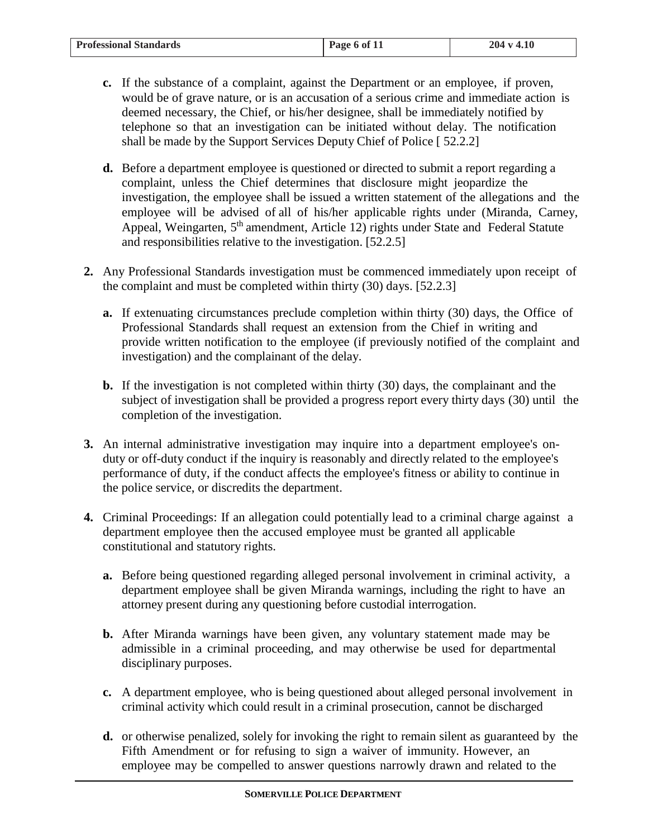| <b>Professional Standards</b> | Page 6 of 11 | $204 \text{ v } 4.10$ |
|-------------------------------|--------------|-----------------------|

- **c.** If the substance of a complaint, against the Department or an employee, if proven, would be of grave nature, or is an accusation of a serious crime and immediate action is deemed necessary, the Chief, or his/her designee, shall be immediately notified by telephone so that an investigation can be initiated without delay. The notification shall be made by the Support Services Deputy Chief of Police [ 52.2.2]
- **d.** Before a department employee is questioned or directed to submit a report regarding a complaint, unless the Chief determines that disclosure might jeopardize the investigation, the employee shall be issued a written statement of the allegations and the employee will be advised of all of his/her applicable rights under (Miranda, Carney, Appeal, Weingarten, 5<sup>th</sup> amendment, Article 12) rights under State and Federal Statute and responsibilities relative to the investigation. [52.2.5]
- **2.** Any Professional Standards investigation must be commenced immediately upon receipt of the complaint and must be completed within thirty (30) days. [52.2.3]
	- **a.** If extenuating circumstances preclude completion within thirty (30) days, the Office of Professional Standards shall request an extension from the Chief in writing and provide written notification to the employee (if previously notified of the complaint and investigation) and the complainant of the delay.
	- **b.** If the investigation is not completed within thirty (30) days, the complainant and the subject of investigation shall be provided a progress report every thirty days (30) until the completion of the investigation.
- **3.** An internal administrative investigation may inquire into a department employee's onduty or off-duty conduct if the inquiry is reasonably and directly related to the employee's performance of duty, if the conduct affects the employee's fitness or ability to continue in the police service, or discredits the department.
- **4.** Criminal Proceedings: If an allegation could potentially lead to a criminal charge against a department employee then the accused employee must be granted all applicable constitutional and statutory rights.
	- **a.** Before being questioned regarding alleged personal involvement in criminal activity, a department employee shall be given Miranda warnings, including the right to have an attorney present during any questioning before custodial interrogation.
	- **b.** After Miranda warnings have been given, any voluntary statement made may be admissible in a criminal proceeding, and may otherwise be used for departmental disciplinary purposes.
	- **c.** A department employee, who is being questioned about alleged personal involvement in criminal activity which could result in a criminal prosecution, cannot be discharged
	- **d.** or otherwise penalized, solely for invoking the right to remain silent as guaranteed by the Fifth Amendment or for refusing to sign a waiver of immunity. However, an employee may be compelled to answer questions narrowly drawn and related to the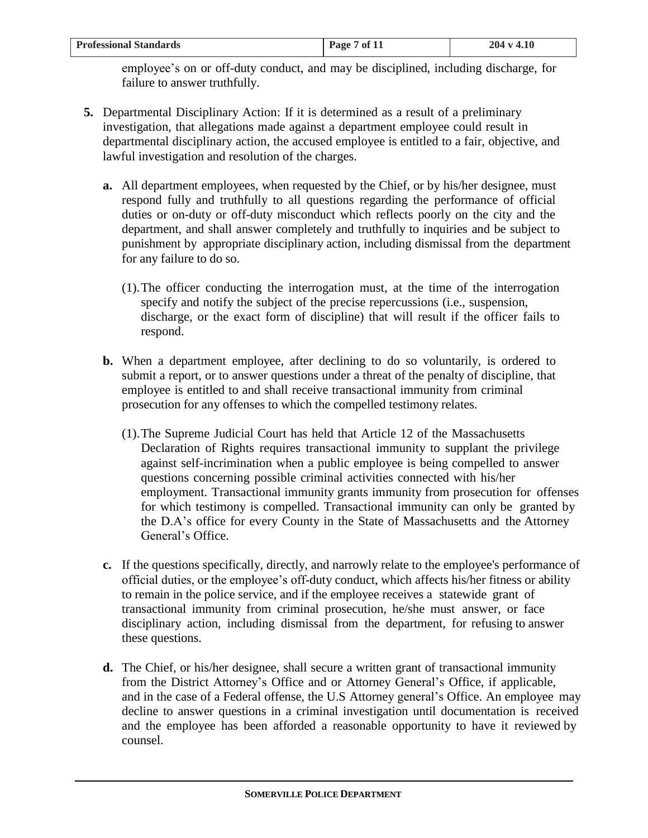| <b>Professional Standards</b> | Page 7 of 11 | 204 v 4.10 |
|-------------------------------|--------------|------------|

employee's on or off-duty conduct, and may be disciplined, including discharge, for failure to answer truthfully.

- **5.** Departmental Disciplinary Action: If it is determined as a result of a preliminary investigation, that allegations made against a department employee could result in departmental disciplinary action, the accused employee is entitled to a fair, objective, and lawful investigation and resolution of the charges.
	- **a.** All department employees, when requested by the Chief, or by his/her designee, must respond fully and truthfully to all questions regarding the performance of official duties or on-duty or off-duty misconduct which reflects poorly on the city and the department, and shall answer completely and truthfully to inquiries and be subject to punishment by appropriate disciplinary action, including dismissal from the department for any failure to do so.
		- (1).The officer conducting the interrogation must, at the time of the interrogation specify and notify the subject of the precise repercussions (i.e., suspension, discharge, or the exact form of discipline) that will result if the officer fails to respond.
	- **b.** When a department employee, after declining to do so voluntarily, is ordered to submit a report, or to answer questions under a threat of the penalty of discipline, that employee is entitled to and shall receive transactional immunity from criminal prosecution for any offenses to which the compelled testimony relates.
		- (1).The Supreme Judicial Court has held that Article 12 of the Massachusetts Declaration of Rights requires transactional immunity to supplant the privilege against self-incrimination when a public employee is being compelled to answer questions concerning possible criminal activities connected with his/her employment. Transactional immunity grants immunity from prosecution for offenses for which testimony is compelled. Transactional immunity can only be granted by the D.A's office for every County in the State of Massachusetts and the Attorney General's Office.
	- **c.** If the questions specifically, directly, and narrowly relate to the employee's performance of official duties, or the employee's off-duty conduct, which affects his/her fitness or ability to remain in the police service, and if the employee receives a statewide grant of transactional immunity from criminal prosecution, he/she must answer, or face disciplinary action, including dismissal from the department, for refusing to answer these questions.
	- **d.** The Chief, or his/her designee, shall secure a written grant of transactional immunity from the District Attorney's Office and or Attorney General's Office, if applicable, and in the case of a Federal offense, the U.S Attorney general's Office. An employee may decline to answer questions in a criminal investigation until documentation is received and the employee has been afforded a reasonable opportunity to have it reviewed by counsel.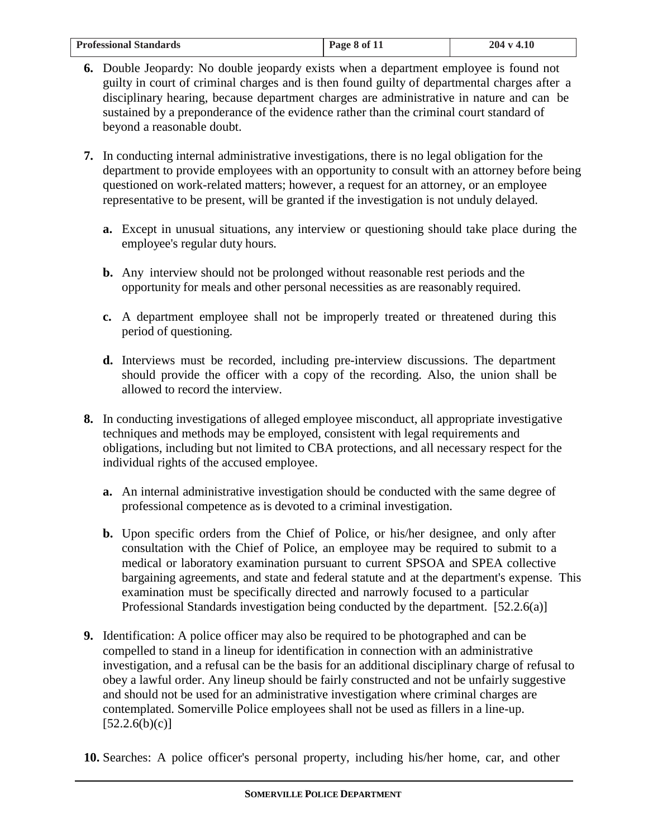| <b>Professional Standards</b> | Page 8 of 11 | $-4.10$<br>204v |
|-------------------------------|--------------|-----------------|

- **6.** Double Jeopardy: No double jeopardy exists when a department employee is found not guilty in court of criminal charges and is then found guilty of departmental charges after a disciplinary hearing, because department charges are administrative in nature and can be sustained by a preponderance of the evidence rather than the criminal court standard of beyond a reasonable doubt.
- **7.** In conducting internal administrative investigations, there is no legal obligation for the department to provide employees with an opportunity to consult with an attorney before being questioned on work-related matters; however, a request for an attorney, or an employee representative to be present, will be granted if the investigation is not unduly delayed.
	- **a.** Except in unusual situations, any interview or questioning should take place during the employee's regular duty hours.
	- **b.** Any interview should not be prolonged without reasonable rest periods and the opportunity for meals and other personal necessities as are reasonably required.
	- **c.** A department employee shall not be improperly treated or threatened during this period of questioning.
	- **d.** Interviews must be recorded, including pre-interview discussions. The department should provide the officer with a copy of the recording. Also, the union shall be allowed to record the interview.
- **8.** In conducting investigations of alleged employee misconduct, all appropriate investigative techniques and methods may be employed, consistent with legal requirements and obligations, including but not limited to CBA protections, and all necessary respect for the individual rights of the accused employee.
	- **a.** An internal administrative investigation should be conducted with the same degree of professional competence as is devoted to a criminal investigation.
	- **b.** Upon specific orders from the Chief of Police, or his/her designee, and only after consultation with the Chief of Police, an employee may be required to submit to a medical or laboratory examination pursuant to current SPSOA and SPEA collective bargaining agreements, and state and federal statute and at the department's expense. This examination must be specifically directed and narrowly focused to a particular Professional Standards investigation being conducted by the department. [52.2.6(a)]
- **9.** Identification: A police officer may also be required to be photographed and can be compelled to stand in a lineup for identification in connection with an administrative investigation, and a refusal can be the basis for an additional disciplinary charge of refusal to obey a lawful order. Any lineup should be fairly constructed and not be unfairly suggestive and should not be used for an administrative investigation where criminal charges are contemplated. Somerville Police employees shall not be used as fillers in a line-up.  $[52.2.6(b)(c)]$
- **10.** Searches: A police officer's personal property, including his/her home, car, and other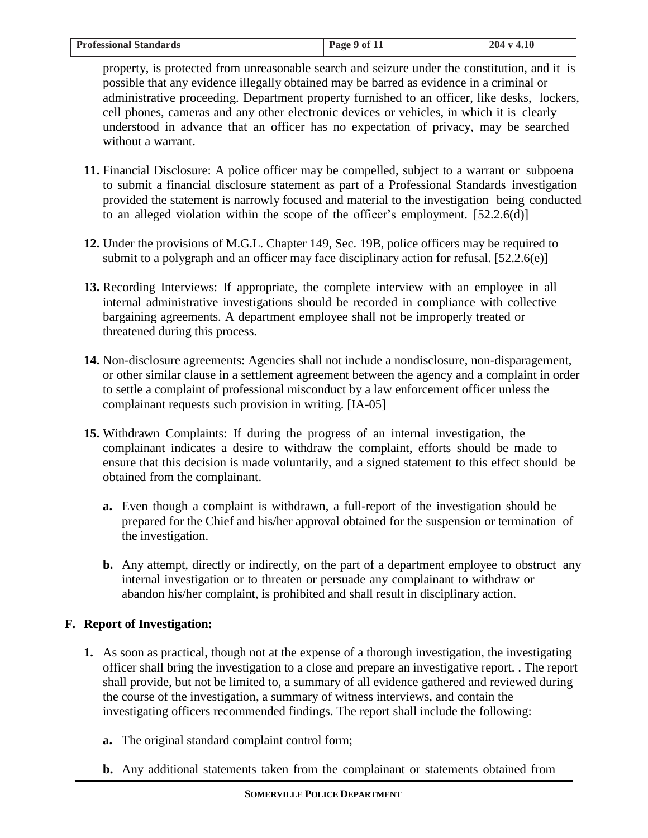| <b>Professional Standards</b><br>Page 9 of 11<br>204 v 4.10 |  |
|-------------------------------------------------------------|--|

property, is protected from unreasonable search and seizure under the constitution, and it is possible that any evidence illegally obtained may be barred as evidence in a criminal or administrative proceeding. Department property furnished to an officer, like desks, lockers, cell phones, cameras and any other electronic devices or vehicles, in which it is clearly understood in advance that an officer has no expectation of privacy, may be searched without a warrant.

- **11.** Financial Disclosure: A police officer may be compelled, subject to a warrant or subpoena to submit a financial disclosure statement as part of a Professional Standards investigation provided the statement is narrowly focused and material to the investigation being conducted to an alleged violation within the scope of the officer's employment.  $[52.2.6(d)]$
- **12.** Under the provisions of M.G.L. Chapter 149, Sec. 19B, police officers may be required to submit to a polygraph and an officer may face disciplinary action for refusal. [52.2.6(e)]
- **13.** Recording Interviews: If appropriate, the complete interview with an employee in all internal administrative investigations should be recorded in compliance with collective bargaining agreements. A department employee shall not be improperly treated or threatened during this process.
- **14.** Non-disclosure agreements: Agencies shall not include a nondisclosure, non-disparagement, or other similar clause in a settlement agreement between the agency and a complaint in order to settle a complaint of professional misconduct by a law enforcement officer unless the complainant requests such provision in writing. [IA-05]
- **15.** Withdrawn Complaints: If during the progress of an internal investigation, the complainant indicates a desire to withdraw the complaint, efforts should be made to ensure that this decision is made voluntarily, and a signed statement to this effect should be obtained from the complainant.
	- **a.** Even though a complaint is withdrawn, a full-report of the investigation should be prepared for the Chief and his/her approval obtained for the suspension or termination of the investigation.
	- **b.** Any attempt, directly or indirectly, on the part of a department employee to obstruct any internal investigation or to threaten or persuade any complainant to withdraw or abandon his/her complaint, is prohibited and shall result in disciplinary action.

# **F. Report of Investigation:**

- **1.** As soon as practical, though not at the expense of a thorough investigation, the investigating officer shall bring the investigation to a close and prepare an investigative report. . The report shall provide, but not be limited to, a summary of all evidence gathered and reviewed during the course of the investigation, a summary of witness interviews, and contain the investigating officers recommended findings. The report shall include the following:
	- **a.** The original standard complaint control form;
	- **b.** Any additional statements taken from the complainant or statements obtained from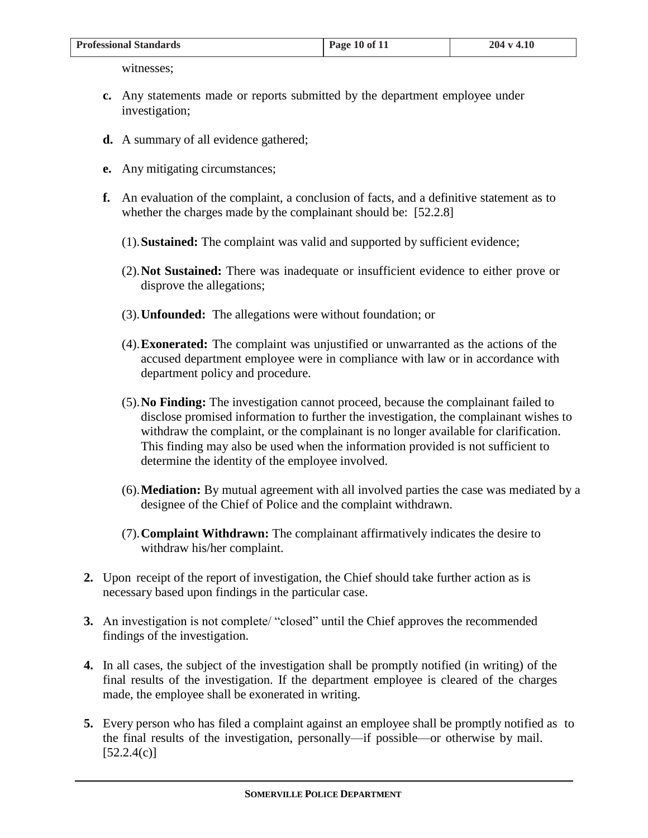| <b>Professional Standards</b> | Page 10 of 11 | $204 \text{ v } 4.10$ |
|-------------------------------|---------------|-----------------------|
|                               |               |                       |

witnesses;

- **c.** Any statements made or reports submitted by the department employee under investigation;
- **d.** A summary of all evidence gathered;
- **e.** Any mitigating circumstances;
- **f.** An evaluation of the complaint, a conclusion of facts, and a definitive statement as to whether the charges made by the complainant should be: [52.2.8]
	- (1).**Sustained:** The complaint was valid and supported by sufficient evidence;
	- (2).**Not Sustained:** There was inadequate or insufficient evidence to either prove or disprove the allegations;
	- (3).**Unfounded:** The allegations were without foundation; or
	- (4).**Exonerated:** The complaint was unjustified or unwarranted as the actions of the accused department employee were in compliance with law or in accordance with department policy and procedure.
	- (5).**No Finding:** The investigation cannot proceed, because the complainant failed to disclose promised information to further the investigation, the complainant wishes to withdraw the complaint, or the complainant is no longer available for clarification. This finding may also be used when the information provided is not sufficient to determine the identity of the employee involved.
	- (6).**Mediation:** By mutual agreement with all involved parties the case was mediated by a designee of the Chief of Police and the complaint withdrawn.
	- (7).**Complaint Withdrawn:** The complainant affirmatively indicates the desire to withdraw his/her complaint.
- **2.** Upon receipt of the report of investigation, the Chief should take further action as is necessary based upon findings in the particular case.
- **3.** An investigation is not complete/ "closed" until the Chief approves the recommended findings of the investigation.
- **4.** In all cases, the subject of the investigation shall be promptly notified (in writing) of the final results of the investigation. If the department employee is cleared of the charges made, the employee shall be exonerated in writing.
- **5.** Every person who has filed a complaint against an employee shall be promptly notified as to the final results of the investigation, personally—if possible—or otherwise by mail.  $[52.2.4(c)]$